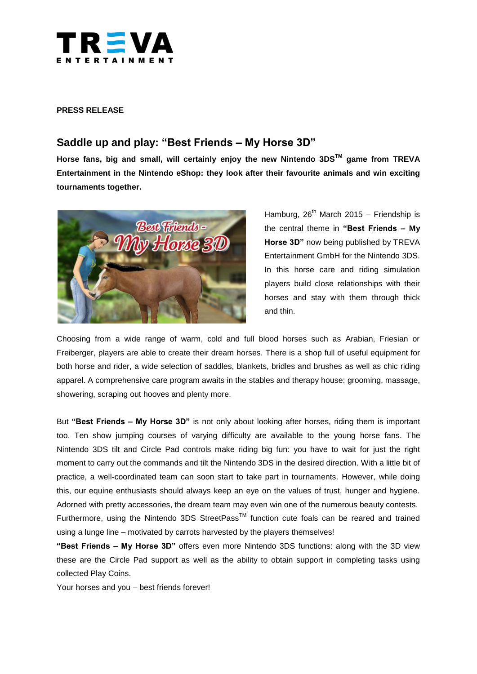

#### **PRESS RELEASE**

# **Saddle up and play: "Best Friends – My Horse 3D"**

**Horse fans, big and small, will certainly enjoy the new Nintendo 3DSTM game from TREVA Entertainment in the Nintendo eShop: they look after their favourite animals and win exciting tournaments together.** 



Hamburg,  $26<sup>th</sup>$  March 2015 – Friendship is the central theme in **"Best Friends – My Horse 3D"** now being published by TREVA Entertainment GmbH for the Nintendo 3DS. In this horse care and riding simulation players build close relationships with their horses and stay with them through thick and thin.

Choosing from a wide range of warm, cold and full blood horses such as Arabian, Friesian or Freiberger, players are able to create their dream horses. There is a shop full of useful equipment for both horse and rider, a wide selection of saddles, blankets, bridles and brushes as well as chic riding apparel. A comprehensive care program awaits in the stables and therapy house: grooming, massage, showering, scraping out hooves and plenty more.

But **"Best Friends – My Horse 3D"** is not only about looking after horses, riding them is important too. Ten show jumping courses of varying difficulty are available to the young horse fans. The Nintendo 3DS tilt and Circle Pad controls make riding big fun: you have to wait for just the right moment to carry out the commands and tilt the Nintendo 3DS in the desired direction. With a little bit of practice, a well-coordinated team can soon start to take part in tournaments. However, while doing this, our equine enthusiasts should always keep an eye on the values of trust, hunger and hygiene. Adorned with pretty accessories, the dream team may even win one of the numerous beauty contests.

Furthermore, using the Nintendo 3DS StreetPass<sup>™</sup> function cute foals can be reared and trained using a lunge line – motivated by carrots harvested by the players themselves!

**"Best Friends – My Horse 3D"** offers even more Nintendo 3DS functions: along with the 3D view these are the Circle Pad support as well as the ability to obtain support in completing tasks using collected Play Coins.

Your horses and you – best friends forever!